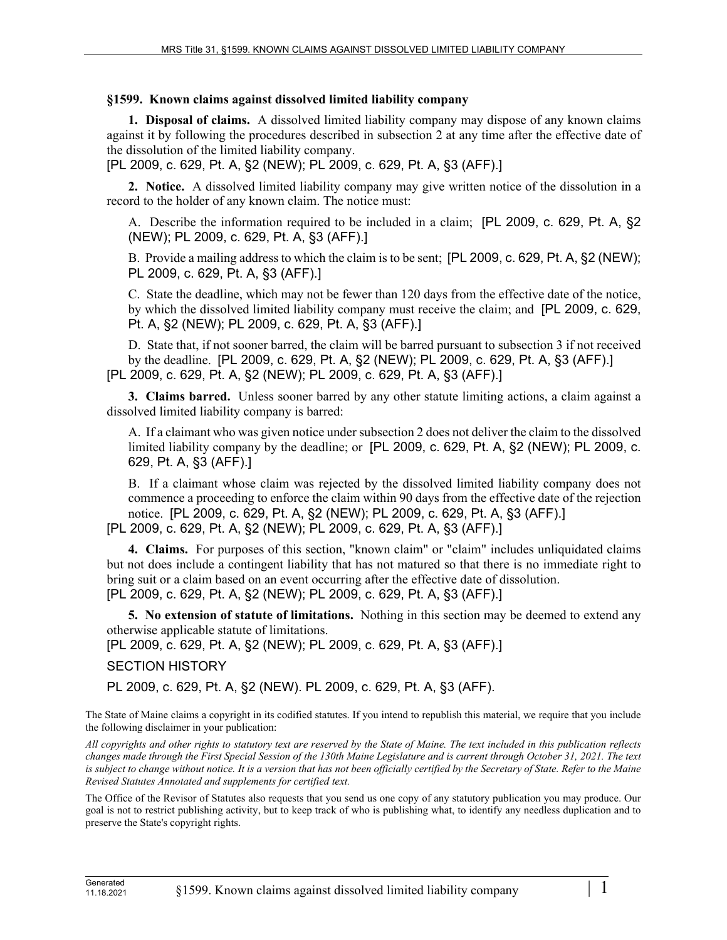## **§1599. Known claims against dissolved limited liability company**

**1. Disposal of claims.** A dissolved limited liability company may dispose of any known claims against it by following the procedures described in subsection 2 at any time after the effective date of the dissolution of the limited liability company.

[PL 2009, c. 629, Pt. A, §2 (NEW); PL 2009, c. 629, Pt. A, §3 (AFF).]

**2. Notice.** A dissolved limited liability company may give written notice of the dissolution in a record to the holder of any known claim. The notice must:

A. Describe the information required to be included in a claim; [PL 2009, c. 629, Pt. A, §2 (NEW); PL 2009, c. 629, Pt. A, §3 (AFF).]

B. Provide a mailing address to which the claim is to be sent; [PL 2009, c. 629, Pt. A, §2 (NEW); PL 2009, c. 629, Pt. A, §3 (AFF).]

C. State the deadline, which may not be fewer than 120 days from the effective date of the notice, by which the dissolved limited liability company must receive the claim; and [PL 2009, c. 629, Pt. A, §2 (NEW); PL 2009, c. 629, Pt. A, §3 (AFF).]

D. State that, if not sooner barred, the claim will be barred pursuant to subsection 3 if not received by the deadline. [PL 2009, c. 629, Pt. A, §2 (NEW); PL 2009, c. 629, Pt. A, §3 (AFF).] [PL 2009, c. 629, Pt. A, §2 (NEW); PL 2009, c. 629, Pt. A, §3 (AFF).]

**3. Claims barred.** Unless sooner barred by any other statute limiting actions, a claim against a dissolved limited liability company is barred:

A. If a claimant who was given notice under subsection 2 does not deliver the claim to the dissolved limited liability company by the deadline; or [PL 2009, c. 629, Pt. A, §2 (NEW); PL 2009, c. 629, Pt. A, §3 (AFF).]

B. If a claimant whose claim was rejected by the dissolved limited liability company does not commence a proceeding to enforce the claim within 90 days from the effective date of the rejection notice. [PL 2009, c. 629, Pt. A, §2 (NEW); PL 2009, c. 629, Pt. A, §3 (AFF).] [PL 2009, c. 629, Pt. A, §2 (NEW); PL 2009, c. 629, Pt. A, §3 (AFF).]

**4. Claims.** For purposes of this section, "known claim" or "claim" includes unliquidated claims but not does include a contingent liability that has not matured so that there is no immediate right to bring suit or a claim based on an event occurring after the effective date of dissolution. [PL 2009, c. 629, Pt. A, §2 (NEW); PL 2009, c. 629, Pt. A, §3 (AFF).]

**5. No extension of statute of limitations.** Nothing in this section may be deemed to extend any otherwise applicable statute of limitations.

[PL 2009, c. 629, Pt. A, §2 (NEW); PL 2009, c. 629, Pt. A, §3 (AFF).]

SECTION HISTORY

PL 2009, c. 629, Pt. A, §2 (NEW). PL 2009, c. 629, Pt. A, §3 (AFF).

The State of Maine claims a copyright in its codified statutes. If you intend to republish this material, we require that you include the following disclaimer in your publication:

*All copyrights and other rights to statutory text are reserved by the State of Maine. The text included in this publication reflects changes made through the First Special Session of the 130th Maine Legislature and is current through October 31, 2021. The text*  is subject to change without notice. It is a version that has not been officially certified by the Secretary of State. Refer to the Maine *Revised Statutes Annotated and supplements for certified text.*

The Office of the Revisor of Statutes also requests that you send us one copy of any statutory publication you may produce. Our goal is not to restrict publishing activity, but to keep track of who is publishing what, to identify any needless duplication and to preserve the State's copyright rights.